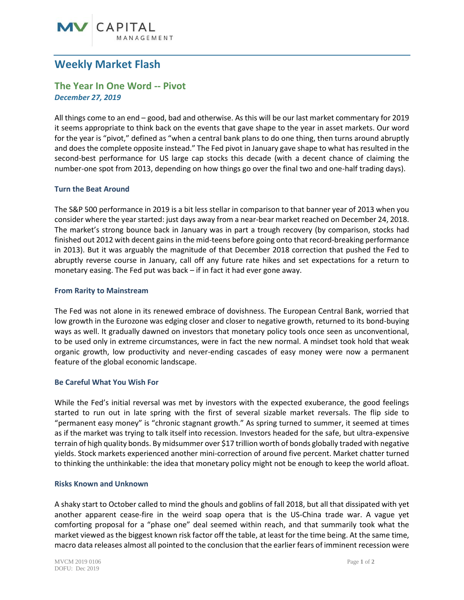# **MV** CAPITAL

## **Weekly Market Flash**

### **The Year In One Word -- Pivot** *December 27, 2019*

All things come to an end – good, bad and otherwise. As this will be our last market commentary for 2019 it seems appropriate to think back on the events that gave shape to the year in asset markets. Our word for the year is "pivot," defined as "when a central bank plans to do one thing, then turns around abruptly and does the complete opposite instead." The Fed pivot in January gave shape to what has resulted in the second-best performance for US large cap stocks this decade (with a decent chance of claiming the number-one spot from 2013, depending on how things go over the final two and one-half trading days).

#### **Turn the Beat Around**

The S&P 500 performance in 2019 is a bit less stellar in comparison to that banner year of 2013 when you consider where the year started: just days away from a near-bear market reached on December 24, 2018. The market's strong bounce back in January was in part a trough recovery (by comparison, stocks had finished out 2012 with decent gains in the mid-teens before going onto that record-breaking performance in 2013). But it was arguably the magnitude of that December 2018 correction that pushed the Fed to abruptly reverse course in January, call off any future rate hikes and set expectations for a return to monetary easing. The Fed put was back – if in fact it had ever gone away.

#### **From Rarity to Mainstream**

The Fed was not alone in its renewed embrace of dovishness. The European Central Bank, worried that low growth in the Eurozone was edging closer and closer to negative growth, returned to its bond-buying ways as well. It gradually dawned on investors that monetary policy tools once seen as unconventional, to be used only in extreme circumstances, were in fact the new normal. A mindset took hold that weak organic growth, low productivity and never-ending cascades of easy money were now a permanent feature of the global economic landscape.

#### **Be Careful What You Wish For**

While the Fed's initial reversal was met by investors with the expected exuberance, the good feelings started to run out in late spring with the first of several sizable market reversals. The flip side to "permanent easy money" is "chronic stagnant growth." As spring turned to summer, it seemed at times as if the market was trying to talk itself into recession. Investors headed for the safe, but ultra-expensive terrain of high quality bonds. By midsummer over \$17 trillion worth of bonds globally traded with negative yields. Stock markets experienced another mini-correction of around five percent. Market chatter turned to thinking the unthinkable: the idea that monetary policy might not be enough to keep the world afloat.

#### **Risks Known and Unknown**

A shaky start to October called to mind the ghouls and goblins of fall 2018, but all that dissipated with yet another apparent cease-fire in the weird soap opera that is the US-China trade war. A vague yet comforting proposal for a "phase one" deal seemed within reach, and that summarily took what the market viewed as the biggest known risk factor off the table, at least for the time being. At the same time, macro data releases almost all pointed to the conclusion that the earlier fears of imminent recession were